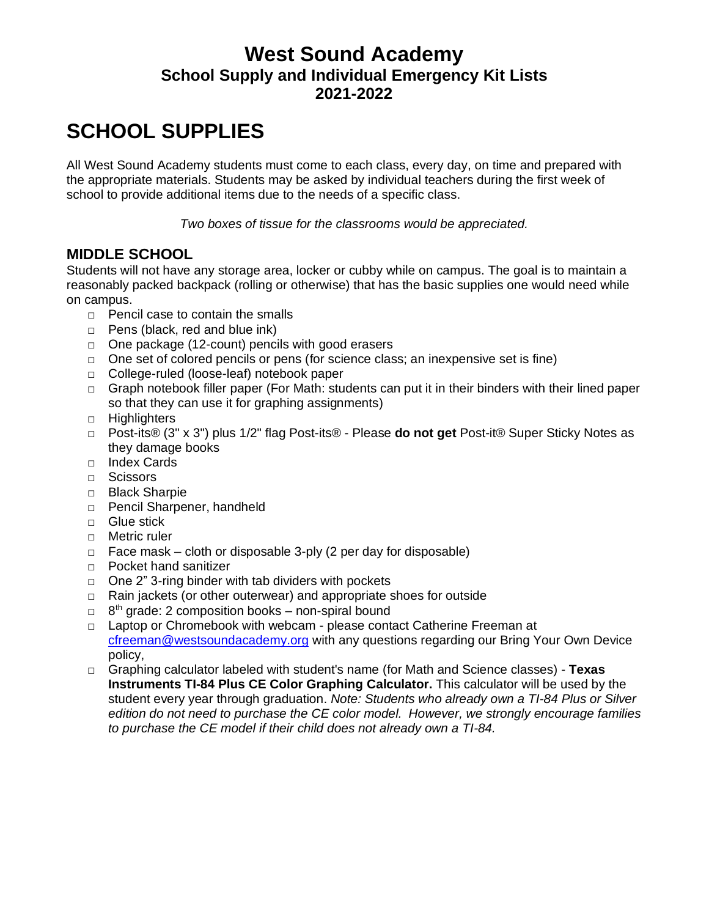## **West Sound Academy School Supply and Individual Emergency Kit Lists 2021-2022**

# **SCHOOL SUPPLIES**

All West Sound Academy students must come to each class, every day, on time and prepared with the appropriate materials. Students may be asked by individual teachers during the first week of school to provide additional items due to the needs of a specific class.

*Two boxes of tissue for the classrooms would be appreciated.*

### **MIDDLE SCHOOL**

Students will not have any storage area, locker or cubby while on campus. The goal is to maintain a reasonably packed backpack (rolling or otherwise) that has the basic supplies one would need while on campus.

- □ Pencil case to contain the smalls
- □ Pens (black, red and blue ink)
- □ One package (12-count) pencils with good erasers
- $\Box$  One set of colored pencils or pens (for science class; an inexpensive set is fine)
- □ College-ruled (loose-leaf) notebook paper
- $\Box$  Graph notebook filler paper (For Math: students can put it in their binders with their lined paper so that they can use it for graphing assignments)
- □ Highlighters
- □ Post-its® (3" x 3") plus 1/2" flag Post-its® Please **do not get** Post-it® Super Sticky Notes as they damage books
- □ Index Cards
- □ Scissors
- □ Black Sharpie
- □ Pencil Sharpener, handheld
- □ Glue stick
- □ Metric ruler
- $\Box$  Face mask cloth or disposable 3-ply (2 per day for disposable)
- □ Pocket hand sanitizer
- $\Box$  One 2" 3-ring binder with tab dividers with pockets
- □ Rain jackets (or other outerwear) and appropriate shoes for outside
- □ 8<sup>th</sup> grade: 2 composition books non-spiral bound
- □ Laptop or Chromebook with webcam please contact Catherine Freeman at [cfreeman@westsoundacademy.org](mailto:cfreeman@westsoundacademy.org?subject=Laptop) with any questions regarding our Bring Your Own Device policy,
- □ Graphing calculator labeled with student's name (for Math and Science classes) **Texas Instruments TI-84 Plus CE Color Graphing Calculator.** This calculator will be used by the student every year through graduation. *Note: Students who already own a TI-84 Plus or Silver edition do not need to purchase the CE color model. However, we strongly encourage families to purchase the CE model if their child does not already own a TI-84.*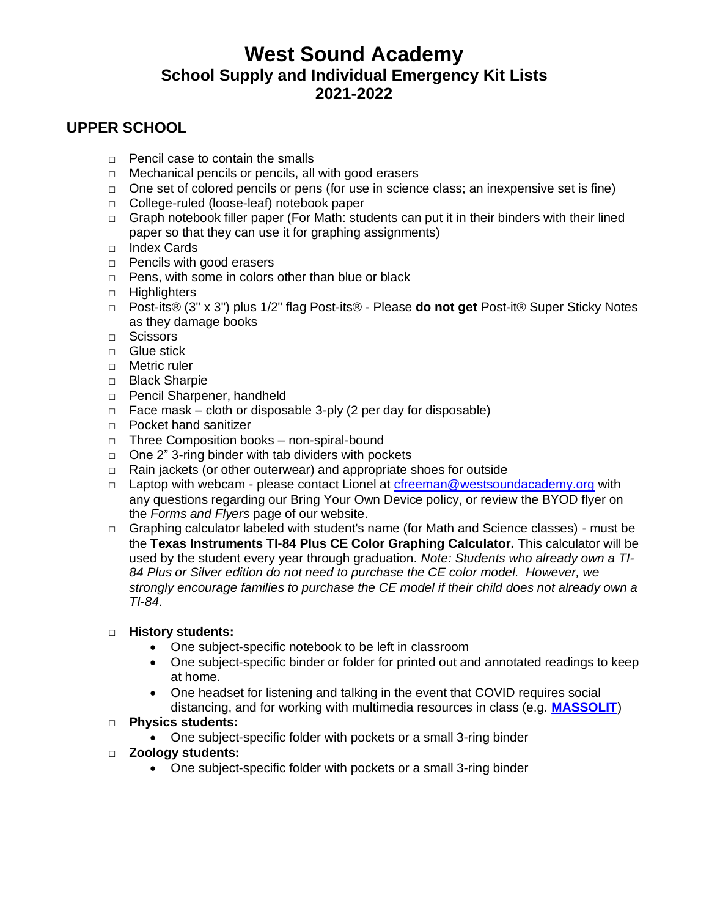## **West Sound Academy School Supply and Individual Emergency Kit Lists 2021-2022**

### **UPPER SCHOOL**

- $\Box$  Pencil case to contain the smalls
- □ Mechanical pencils or pencils, all with good erasers
- $\Box$  One set of colored pencils or pens (for use in science class; an inexpensive set is fine)
- □ College-ruled (loose-leaf) notebook paper
- □ Graph notebook filler paper (For Math: students can put it in their binders with their lined paper so that they can use it for graphing assignments)
- □ Index Cards
- □ Pencils with good erasers
- □ Pens, with some in colors other than blue or black
- □ Highlighters
- □ Post-its® (3" x 3") plus 1/2" flag Post-its® Please **do not get** Post-it® Super Sticky Notes as they damage books
- □ Scissors
- □ Glue stick
- □ Metric ruler
- □ Black Sharpie
- □ Pencil Sharpener, handheld
- $\Box$  Face mask cloth or disposable 3-ply (2 per day for disposable)
- □ Pocket hand sanitizer
- □ Three Composition books non-spiral-bound
- $\Box$  One 2" 3-ring binder with tab dividers with pockets
- □ Rain jackets (or other outerwear) and appropriate shoes for outside
- □ Laptop with webcam please contact Lionel at [cfreeman@westsoundacademy.org](mailto:cfreeman@westsoundacademy.org?subject=Laptop) with any questions regarding our Bring Your Own Device policy, or review the BYOD flyer on the *Forms and Flyers* page of our website.
- □ Graphing calculator labeled with student's name (for Math and Science classes) must be the **Texas Instruments TI-84 Plus CE Color Graphing Calculator.** This calculator will be used by the student every year through graduation. *Note: Students who already own a TI-84 Plus or Silver edition do not need to purchase the CE color model. However, we strongly encourage families to purchase the CE model if their child does not already own a TI-84.*

#### □ **History students:**

- One subject-specific notebook to be left in classroom
- One subject-specific binder or folder for printed out and annotated readings to keep at home.
- One headset for listening and talking in the event that COVID requires social distancing, and for working with multimedia resources in class (e.g. **[MASSOLIT](https://massolit.io/)**)
- □ **Physics students:** 
	- One subject-specific folder with pockets or a small 3-ring binder
- □ **Zoology students:** 
	- One subject-specific folder with pockets or a small 3-ring binder